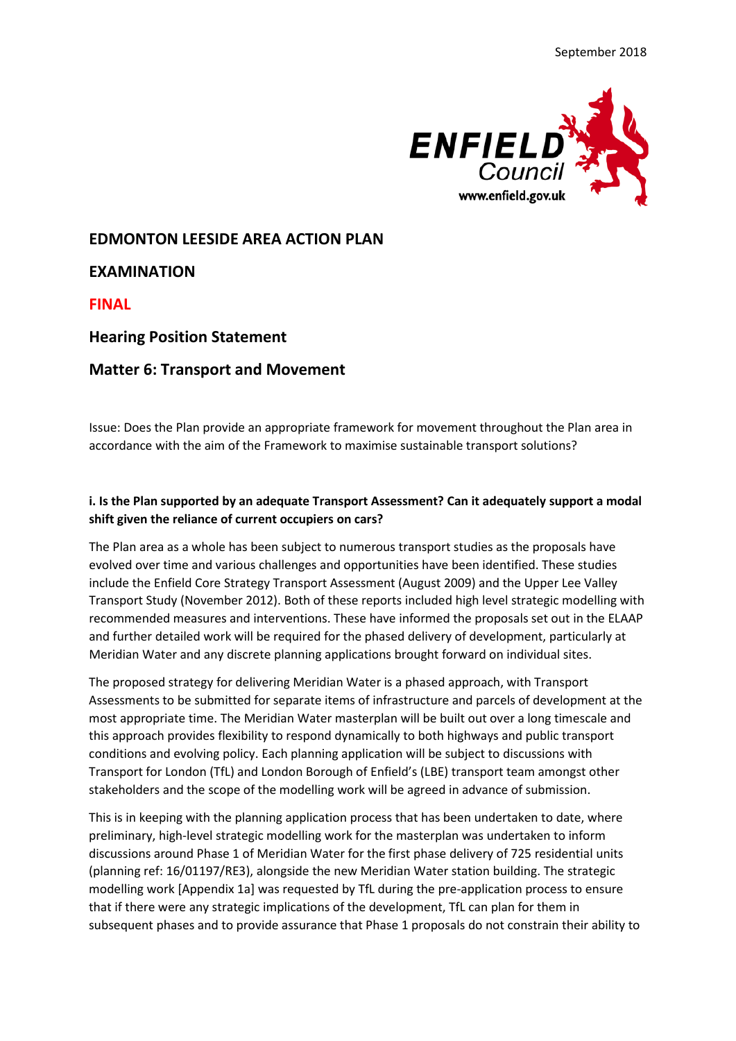

# **EDMONTON LEESIDE AREA ACTION PLAN**

**EXAMINATION**

**FINAL**

## **Hearing Position Statement**

## **Matter 6: Transport and Movement**

Issue: Does the Plan provide an appropriate framework for movement throughout the Plan area in accordance with the aim of the Framework to maximise sustainable transport solutions?

### **i. Is the Plan supported by an adequate Transport Assessment? Can it adequately support a modal shift given the reliance of current occupiers on cars?**

The Plan area as a whole has been subject to numerous transport studies as the proposals have evolved over time and various challenges and opportunities have been identified. These studies include the Enfield Core Strategy Transport Assessment (August 2009) and the Upper Lee Valley Transport Study (November 2012). Both of these reports included high level strategic modelling with recommended measures and interventions. These have informed the proposals set out in the ELAAP and further detailed work will be required for the phased delivery of development, particularly at Meridian Water and any discrete planning applications brought forward on individual sites.

The proposed strategy for delivering Meridian Water is a phased approach, with Transport Assessments to be submitted for separate items of infrastructure and parcels of development at the most appropriate time. The Meridian Water masterplan will be built out over a long timescale and this approach provides flexibility to respond dynamically to both highways and public transport conditions and evolving policy. Each planning application will be subject to discussions with Transport for London (TfL) and London Borough of Enfield's (LBE) transport team amongst other stakeholders and the scope of the modelling work will be agreed in advance of submission.

This is in keeping with the planning application process that has been undertaken to date, where preliminary, high-level strategic modelling work for the masterplan was undertaken to inform discussions around Phase 1 of Meridian Water for the first phase delivery of 725 residential units (planning ref: 16/01197/RE3), alongside the new Meridian Water station building. The strategic modelling work [Appendix 1a] was requested by TfL during the pre-application process to ensure that if there were any strategic implications of the development, TfL can plan for them in subsequent phases and to provide assurance that Phase 1 proposals do not constrain their ability to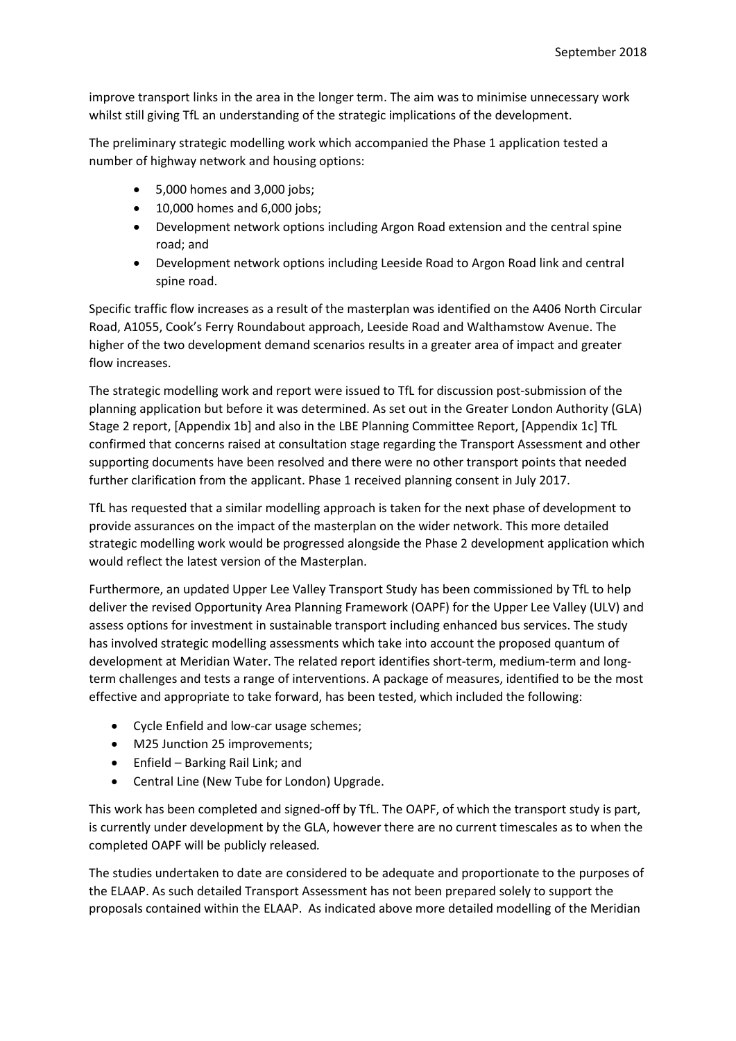improve transport links in the area in the longer term. The aim was to minimise unnecessary work whilst still giving TfL an understanding of the strategic implications of the development.

The preliminary strategic modelling work which accompanied the Phase 1 application tested a number of highway network and housing options:

- 5,000 homes and 3,000 jobs;
- 10,000 homes and 6,000 jobs;
- Development network options including Argon Road extension and the central spine road; and
- Development network options including Leeside Road to Argon Road link and central spine road.

Specific traffic flow increases as a result of the masterplan was identified on the A406 North Circular Road, A1055, Cook's Ferry Roundabout approach, Leeside Road and Walthamstow Avenue. The higher of the two development demand scenarios results in a greater area of impact and greater flow increases.

The strategic modelling work and report were issued to TfL for discussion post-submission of the planning application but before it was determined. As set out in the Greater London Authority (GLA) Stage 2 report, [Appendix 1b] and also in the LBE Planning Committee Report, [Appendix 1c] TfL confirmed that concerns raised at consultation stage regarding the Transport Assessment and other supporting documents have been resolved and there were no other transport points that needed further clarification from the applicant. Phase 1 received planning consent in July 2017.

TfL has requested that a similar modelling approach is taken for the next phase of development to provide assurances on the impact of the masterplan on the wider network. This more detailed strategic modelling work would be progressed alongside the Phase 2 development application which would reflect the latest version of the Masterplan.

Furthermore, an updated Upper Lee Valley Transport Study has been commissioned by TfL to help deliver the revised Opportunity Area Planning Framework (OAPF) for the Upper Lee Valley (ULV) and assess options for investment in sustainable transport including enhanced bus services. The study has involved strategic modelling assessments which take into account the proposed quantum of development at Meridian Water. The related report identifies short-term, medium-term and longterm challenges and tests a range of interventions. A package of measures, identified to be the most effective and appropriate to take forward, has been tested, which included the following:

- Cycle Enfield and low-car usage schemes;
- M25 Junction 25 improvements;
- Enfield Barking Rail Link; and
- Central Line (New Tube for London) Upgrade.

This work has been completed and signed-off by TfL. The OAPF, of which the transport study is part, is currently under development by the GLA, however there are no current timescales as to when the completed OAPF will be publicly released*.*

The studies undertaken to date are considered to be adequate and proportionate to the purposes of the ELAAP. As such detailed Transport Assessment has not been prepared solely to support the proposals contained within the ELAAP. As indicated above more detailed modelling of the Meridian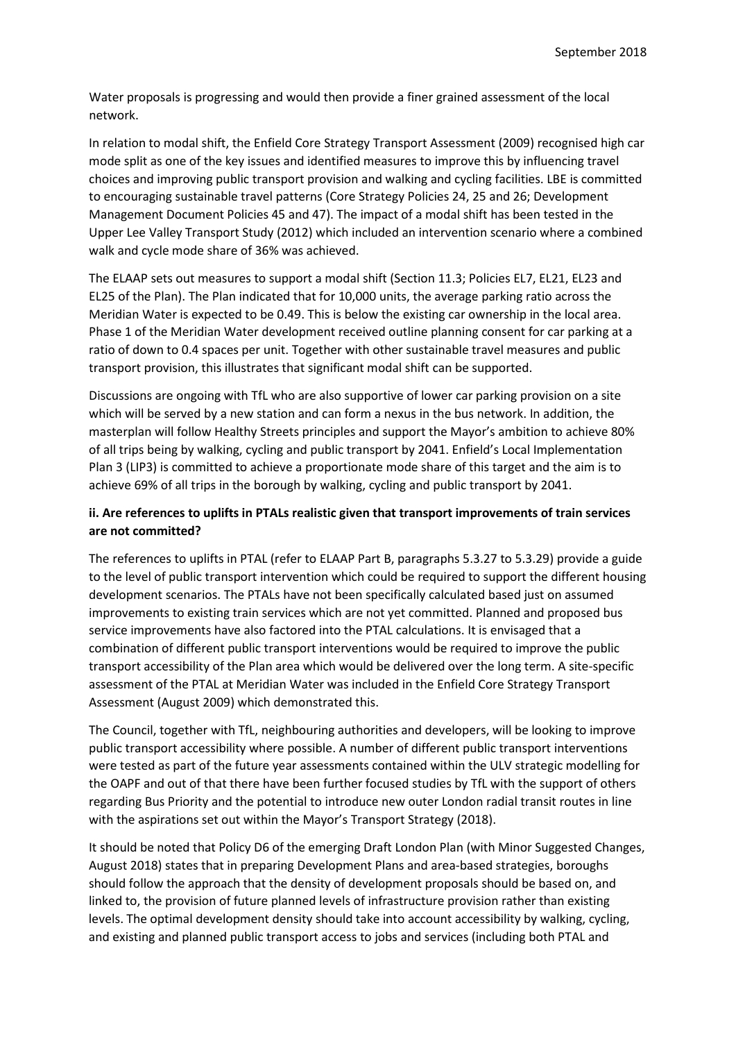Water proposals is progressing and would then provide a finer grained assessment of the local network.

In relation to modal shift, the Enfield Core Strategy Transport Assessment (2009) recognised high car mode split as one of the key issues and identified measures to improve this by influencing travel choices and improving public transport provision and walking and cycling facilities. LBE is committed to encouraging sustainable travel patterns (Core Strategy Policies 24, 25 and 26; Development Management Document Policies 45 and 47). The impact of a modal shift has been tested in the Upper Lee Valley Transport Study (2012) which included an intervention scenario where a combined walk and cycle mode share of 36% was achieved.

The ELAAP sets out measures to support a modal shift (Section 11.3; Policies EL7, EL21, EL23 and EL25 of the Plan). The Plan indicated that for 10,000 units, the average parking ratio across the Meridian Water is expected to be 0.49. This is below the existing car ownership in the local area. Phase 1 of the Meridian Water development received outline planning consent for car parking at a ratio of down to 0.4 spaces per unit. Together with other sustainable travel measures and public transport provision, this illustrates that significant modal shift can be supported.

Discussions are ongoing with TfL who are also supportive of lower car parking provision on a site which will be served by a new station and can form a nexus in the bus network. In addition, the masterplan will follow Healthy Streets principles and support the Mayor's ambition to achieve 80% of all trips being by walking, cycling and public transport by 2041. Enfield's Local Implementation Plan 3 (LIP3) is committed to achieve a proportionate mode share of this target and the aim is to achieve 69% of all trips in the borough by walking, cycling and public transport by 2041.

## **ii. Are references to uplifts in PTALs realistic given that transport improvements of train services are not committed?**

The references to uplifts in PTAL (refer to ELAAP Part B, paragraphs 5.3.27 to 5.3.29) provide a guide to the level of public transport intervention which could be required to support the different housing development scenarios. The PTALs have not been specifically calculated based just on assumed improvements to existing train services which are not yet committed. Planned and proposed bus service improvements have also factored into the PTAL calculations. It is envisaged that a combination of different public transport interventions would be required to improve the public transport accessibility of the Plan area which would be delivered over the long term. A site-specific assessment of the PTAL at Meridian Water was included in the Enfield Core Strategy Transport Assessment (August 2009) which demonstrated this.

The Council, together with TfL, neighbouring authorities and developers, will be looking to improve public transport accessibility where possible. A number of different public transport interventions were tested as part of the future year assessments contained within the ULV strategic modelling for the OAPF and out of that there have been further focused studies by TfL with the support of others regarding Bus Priority and the potential to introduce new outer London radial transit routes in line with the aspirations set out within the Mayor's Transport Strategy (2018).

It should be noted that Policy D6 of the emerging Draft London Plan (with Minor Suggested Changes, August 2018) states that in preparing Development Plans and area-based strategies, boroughs should follow the approach that the density of development proposals should be based on, and linked to, the provision of future planned levels of infrastructure provision rather than existing levels. The optimal development density should take into account accessibility by walking, cycling, and existing and planned public transport access to jobs and services (including both PTAL and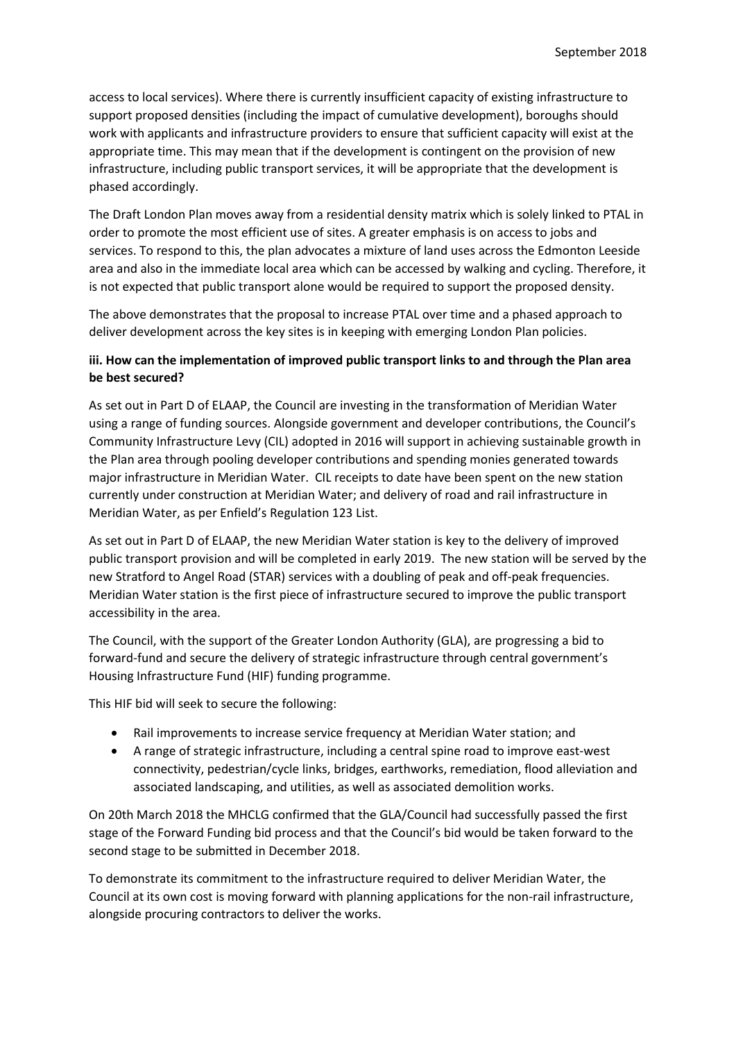access to local services). Where there is currently insufficient capacity of existing infrastructure to support proposed densities (including the impact of cumulative development), boroughs should work with applicants and infrastructure providers to ensure that sufficient capacity will exist at the appropriate time. This may mean that if the development is contingent on the provision of new infrastructure, including public transport services, it will be appropriate that the development is phased accordingly.

The Draft London Plan moves away from a residential density matrix which is solely linked to PTAL in order to promote the most efficient use of sites. A greater emphasis is on access to jobs and services. To respond to this, the plan advocates a mixture of land uses across the Edmonton Leeside area and also in the immediate local area which can be accessed by walking and cycling. Therefore, it is not expected that public transport alone would be required to support the proposed density.

The above demonstrates that the proposal to increase PTAL over time and a phased approach to deliver development across the key sites is in keeping with emerging London Plan policies.

### **iii. How can the implementation of improved public transport links to and through the Plan area be best secured?**

As set out in Part D of ELAAP, the Council are investing in the transformation of Meridian Water using a range of funding sources. Alongside government and developer contributions, the Council's Community Infrastructure Levy (CIL) adopted in 2016 will support in achieving sustainable growth in the Plan area through pooling developer contributions and spending monies generated towards major infrastructure in Meridian Water. CIL receipts to date have been spent on the new station currently under construction at Meridian Water; and delivery of road and rail infrastructure in Meridian Water, as per Enfield's Regulation 123 List.

As set out in Part D of ELAAP, the new Meridian Water station is key to the delivery of improved public transport provision and will be completed in early 2019. The new station will be served by the new Stratford to Angel Road (STAR) services with a doubling of peak and off-peak frequencies. Meridian Water station is the first piece of infrastructure secured to improve the public transport accessibility in the area.

The Council, with the support of the Greater London Authority (GLA), are progressing a bid to forward-fund and secure the delivery of strategic infrastructure through central government's Housing Infrastructure Fund (HIF) funding programme.

This HIF bid will seek to secure the following:

- Rail improvements to increase service frequency at Meridian Water station; and
- A range of strategic infrastructure, including a central spine road to improve east-west connectivity, pedestrian/cycle links, bridges, earthworks, remediation, flood alleviation and associated landscaping, and utilities, as well as associated demolition works.

On 20th March 2018 the MHCLG confirmed that the GLA/Council had successfully passed the first stage of the Forward Funding bid process and that the Council's bid would be taken forward to the second stage to be submitted in December 2018.

To demonstrate its commitment to the infrastructure required to deliver Meridian Water, the Council at its own cost is moving forward with planning applications for the non-rail infrastructure, alongside procuring contractors to deliver the works.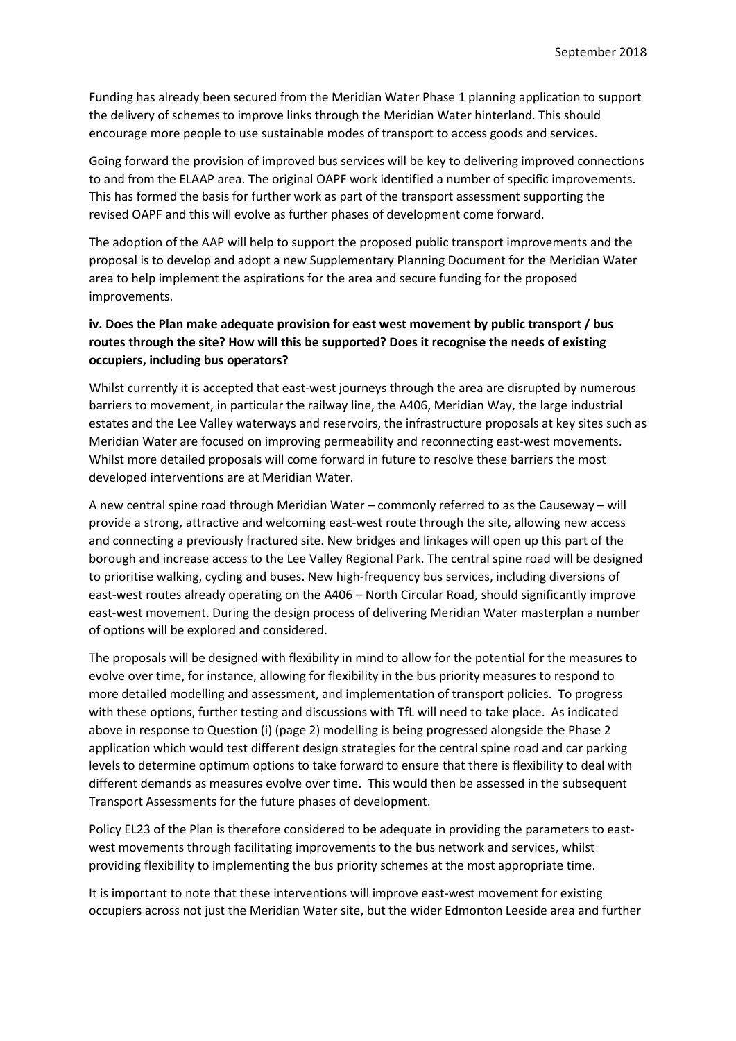Funding has already been secured from the Meridian Water Phase 1 planning application to support the delivery of schemes to improve links through the Meridian Water hinterland. This should encourage more people to use sustainable modes of transport to access goods and services.

Going forward the provision of improved bus services will be key to delivering improved connections to and from the ELAAP area. The original OAPF work identified a number of specific improvements. This has formed the basis for further work as part of the transport assessment supporting the revised OAPF and this will evolve as further phases of development come forward.

The adoption of the AAP will help to support the proposed public transport improvements and the proposal is to develop and adopt a new Supplementary Planning Document for the Meridian Water area to help implement the aspirations for the area and secure funding for the proposed improvements.

# **iv. Does the Plan make adequate provision for east west movement by public transport / bus routes through the site? How will this be supported? Does it recognise the needs of existing occupiers, including bus operators?**

Whilst currently it is accepted that east-west journeys through the area are disrupted by numerous barriers to movement, in particular the railway line, the A406, Meridian Way, the large industrial estates and the Lee Valley waterways and reservoirs, the infrastructure proposals at key sites such as Meridian Water are focused on improving permeability and reconnecting east-west movements. Whilst more detailed proposals will come forward in future to resolve these barriers the most developed interventions are at Meridian Water.

A new central spine road through Meridian Water – commonly referred to as the Causeway – will provide a strong, attractive and welcoming east-west route through the site, allowing new access and connecting a previously fractured site. New bridges and linkages will open up this part of the borough and increase access to the Lee Valley Regional Park. The central spine road will be designed to prioritise walking, cycling and buses. New high-frequency bus services, including diversions of east-west routes already operating on the A406 – North Circular Road, should significantly improve east-west movement. During the design process of delivering Meridian Water masterplan a number of options will be explored and considered.

The proposals will be designed with flexibility in mind to allow for the potential for the measures to evolve over time, for instance, allowing for flexibility in the bus priority measures to respond to more detailed modelling and assessment, and implementation of transport policies. To progress with these options, further testing and discussions with TfL will need to take place. As indicated above in response to Question (i) (page 2) modelling is being progressed alongside the Phase 2 application which would test different design strategies for the central spine road and car parking levels to determine optimum options to take forward to ensure that there is flexibility to deal with different demands as measures evolve over time. This would then be assessed in the subsequent Transport Assessments for the future phases of development.

Policy EL23 of the Plan is therefore considered to be adequate in providing the parameters to eastwest movements through facilitating improvements to the bus network and services, whilst providing flexibility to implementing the bus priority schemes at the most appropriate time.

It is important to note that these interventions will improve east-west movement for existing occupiers across not just the Meridian Water site, but the wider Edmonton Leeside area and further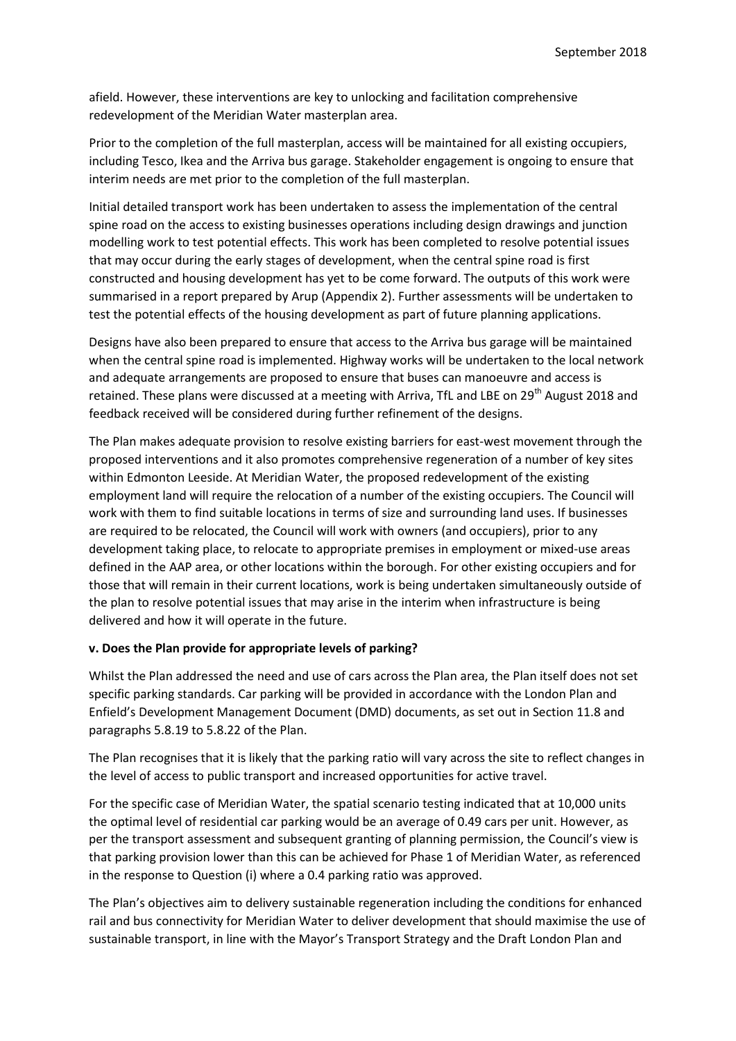afield. However, these interventions are key to unlocking and facilitation comprehensive redevelopment of the Meridian Water masterplan area.

Prior to the completion of the full masterplan, access will be maintained for all existing occupiers, including Tesco, Ikea and the Arriva bus garage. Stakeholder engagement is ongoing to ensure that interim needs are met prior to the completion of the full masterplan.

Initial detailed transport work has been undertaken to assess the implementation of the central spine road on the access to existing businesses operations including design drawings and junction modelling work to test potential effects. This work has been completed to resolve potential issues that may occur during the early stages of development, when the central spine road is first constructed and housing development has yet to be come forward. The outputs of this work were summarised in a report prepared by Arup (Appendix 2). Further assessments will be undertaken to test the potential effects of the housing development as part of future planning applications.

Designs have also been prepared to ensure that access to the Arriva bus garage will be maintained when the central spine road is implemented. Highway works will be undertaken to the local network and adequate arrangements are proposed to ensure that buses can manoeuvre and access is retained. These plans were discussed at a meeting with Arriva, TfL and LBE on 29<sup>th</sup> August 2018 and feedback received will be considered during further refinement of the designs.

The Plan makes adequate provision to resolve existing barriers for east-west movement through the proposed interventions and it also promotes comprehensive regeneration of a number of key sites within Edmonton Leeside. At Meridian Water, the proposed redevelopment of the existing employment land will require the relocation of a number of the existing occupiers. The Council will work with them to find suitable locations in terms of size and surrounding land uses. If businesses are required to be relocated, the Council will work with owners (and occupiers), prior to any development taking place, to relocate to appropriate premises in employment or mixed-use areas defined in the AAP area, or other locations within the borough. For other existing occupiers and for those that will remain in their current locations, work is being undertaken simultaneously outside of the plan to resolve potential issues that may arise in the interim when infrastructure is being delivered and how it will operate in the future.

### **v. Does the Plan provide for appropriate levels of parking?**

Whilst the Plan addressed the need and use of cars across the Plan area, the Plan itself does not set specific parking standards. Car parking will be provided in accordance with the London Plan and Enfield's Development Management Document (DMD) documents, as set out in Section 11.8 and paragraphs 5.8.19 to 5.8.22 of the Plan.

The Plan recognises that it is likely that the parking ratio will vary across the site to reflect changes in the level of access to public transport and increased opportunities for active travel.

For the specific case of Meridian Water, the spatial scenario testing indicated that at 10,000 units the optimal level of residential car parking would be an average of 0.49 cars per unit. However, as per the transport assessment and subsequent granting of planning permission, the Council's view is that parking provision lower than this can be achieved for Phase 1 of Meridian Water, as referenced in the response to Question (i) where a 0.4 parking ratio was approved.

The Plan's objectives aim to delivery sustainable regeneration including the conditions for enhanced rail and bus connectivity for Meridian Water to deliver development that should maximise the use of sustainable transport, in line with the Mayor's Transport Strategy and the Draft London Plan and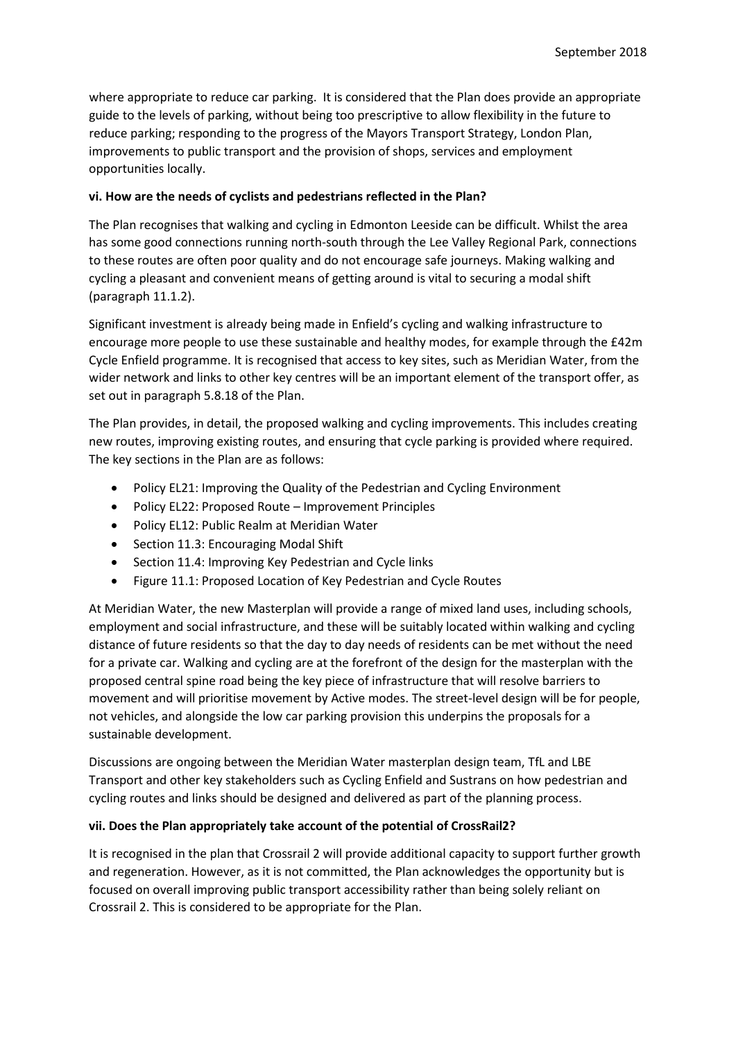where appropriate to reduce car parking. It is considered that the Plan does provide an appropriate guide to the levels of parking, without being too prescriptive to allow flexibility in the future to reduce parking; responding to the progress of the Mayors Transport Strategy, London Plan, improvements to public transport and the provision of shops, services and employment opportunities locally.

#### **vi. How are the needs of cyclists and pedestrians reflected in the Plan?**

The Plan recognises that walking and cycling in Edmonton Leeside can be difficult. Whilst the area has some good connections running north-south through the Lee Valley Regional Park, connections to these routes are often poor quality and do not encourage safe journeys. Making walking and cycling a pleasant and convenient means of getting around is vital to securing a modal shift (paragraph 11.1.2).

Significant investment is already being made in Enfield's cycling and walking infrastructure to encourage more people to use these sustainable and healthy modes, for example through the £42m Cycle Enfield programme. It is recognised that access to key sites, such as Meridian Water, from the wider network and links to other key centres will be an important element of the transport offer, as set out in paragraph 5.8.18 of the Plan.

The Plan provides, in detail, the proposed walking and cycling improvements. This includes creating new routes, improving existing routes, and ensuring that cycle parking is provided where required. The key sections in the Plan are as follows:

- Policy EL21: Improving the Quality of the Pedestrian and Cycling Environment
- Policy EL22: Proposed Route Improvement Principles
- Policy EL12: Public Realm at Meridian Water
- Section 11.3: Encouraging Modal Shift
- Section 11.4: Improving Key Pedestrian and Cycle links
- Figure 11.1: Proposed Location of Key Pedestrian and Cycle Routes

At Meridian Water, the new Masterplan will provide a range of mixed land uses, including schools, employment and social infrastructure, and these will be suitably located within walking and cycling distance of future residents so that the day to day needs of residents can be met without the need for a private car. Walking and cycling are at the forefront of the design for the masterplan with the proposed central spine road being the key piece of infrastructure that will resolve barriers to movement and will prioritise movement by Active modes. The street-level design will be for people, not vehicles, and alongside the low car parking provision this underpins the proposals for a sustainable development.

Discussions are ongoing between the Meridian Water masterplan design team, TfL and LBE Transport and other key stakeholders such as Cycling Enfield and Sustrans on how pedestrian and cycling routes and links should be designed and delivered as part of the planning process.

### **vii. Does the Plan appropriately take account of the potential of CrossRail2?**

It is recognised in the plan that Crossrail 2 will provide additional capacity to support further growth and regeneration. However, as it is not committed, the Plan acknowledges the opportunity but is focused on overall improving public transport accessibility rather than being solely reliant on Crossrail 2. This is considered to be appropriate for the Plan.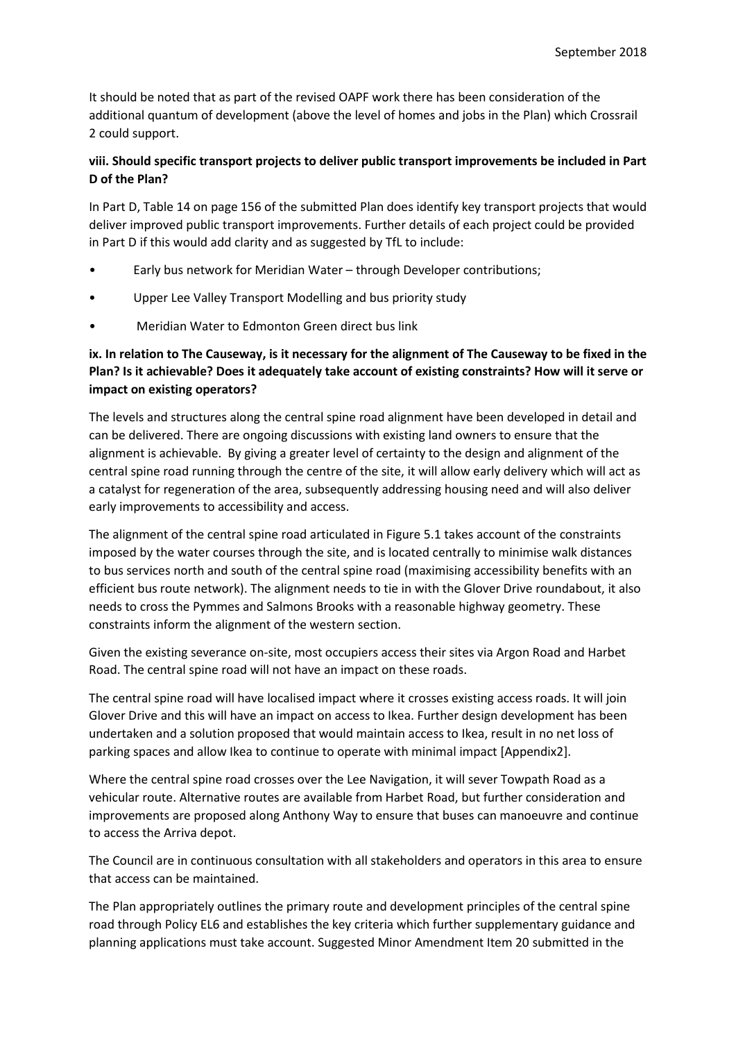It should be noted that as part of the revised OAPF work there has been consideration of the additional quantum of development (above the level of homes and jobs in the Plan) which Crossrail 2 could support.

## **viii. Should specific transport projects to deliver public transport improvements be included in Part D of the Plan?**

In Part D, Table 14 on page 156 of the submitted Plan does identify key transport projects that would deliver improved public transport improvements. Further details of each project could be provided in Part D if this would add clarity and as suggested by TfL to include:

- Early bus network for Meridian Water through Developer contributions;
- Upper Lee Valley Transport Modelling and bus priority study
- Meridian Water to Edmonton Green direct bus link

# **ix. In relation to The Causeway, is it necessary for the alignment of The Causeway to be fixed in the Plan? Is it achievable? Does it adequately take account of existing constraints? How will it serve or impact on existing operators?**

The levels and structures along the central spine road alignment have been developed in detail and can be delivered. There are ongoing discussions with existing land owners to ensure that the alignment is achievable. By giving a greater level of certainty to the design and alignment of the central spine road running through the centre of the site, it will allow early delivery which will act as a catalyst for regeneration of the area, subsequently addressing housing need and will also deliver early improvements to accessibility and access.

The alignment of the central spine road articulated in Figure 5.1 takes account of the constraints imposed by the water courses through the site, and is located centrally to minimise walk distances to bus services north and south of the central spine road (maximising accessibility benefits with an efficient bus route network). The alignment needs to tie in with the Glover Drive roundabout, it also needs to cross the Pymmes and Salmons Brooks with a reasonable highway geometry. These constraints inform the alignment of the western section.

Given the existing severance on-site, most occupiers access their sites via Argon Road and Harbet Road. The central spine road will not have an impact on these roads.

The central spine road will have localised impact where it crosses existing access roads. It will join Glover Drive and this will have an impact on access to Ikea. Further design development has been undertaken and a solution proposed that would maintain access to Ikea, result in no net loss of parking spaces and allow Ikea to continue to operate with minimal impact [Appendix2].

Where the central spine road crosses over the Lee Navigation, it will sever Towpath Road as a vehicular route. Alternative routes are available from Harbet Road, but further consideration and improvements are proposed along Anthony Way to ensure that buses can manoeuvre and continue to access the Arriva depot.

The Council are in continuous consultation with all stakeholders and operators in this area to ensure that access can be maintained.

The Plan appropriately outlines the primary route and development principles of the central spine road through Policy EL6 and establishes the key criteria which further supplementary guidance and planning applications must take account. Suggested Minor Amendment Item 20 submitted in the